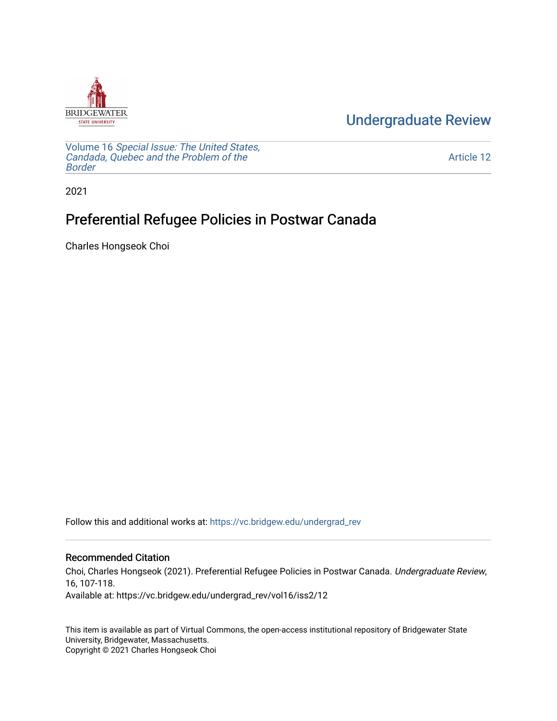

[Undergraduate Review](https://vc.bridgew.edu/undergrad_rev) 

Volume 16 [Special Issue: The United States,](https://vc.bridgew.edu/undergrad_rev/vol16)  [Candada, Quebec and the Problem of the](https://vc.bridgew.edu/undergrad_rev/vol16)  [Border](https://vc.bridgew.edu/undergrad_rev/vol16)

[Article 12](https://vc.bridgew.edu/undergrad_rev/vol16/iss2/12) 

2021

# Preferential Refugee Policies in Postwar Canada

Charles Hongseok Choi

Follow this and additional works at: [https://vc.bridgew.edu/undergrad\\_rev](https://vc.bridgew.edu/undergrad_rev?utm_source=vc.bridgew.edu%2Fundergrad_rev%2Fvol16%2Fiss2%2F12&utm_medium=PDF&utm_campaign=PDFCoverPages)

#### Recommended Citation

Choi, Charles Hongseok (2021). Preferential Refugee Policies in Postwar Canada. Undergraduate Review, 16, 107-118. Available at: https://vc.bridgew.edu/undergrad\_rev/vol16/iss2/12

This item is available as part of Virtual Commons, the open-access institutional repository of Bridgewater State University, Bridgewater, Massachusetts. Copyright © 2021 Charles Hongseok Choi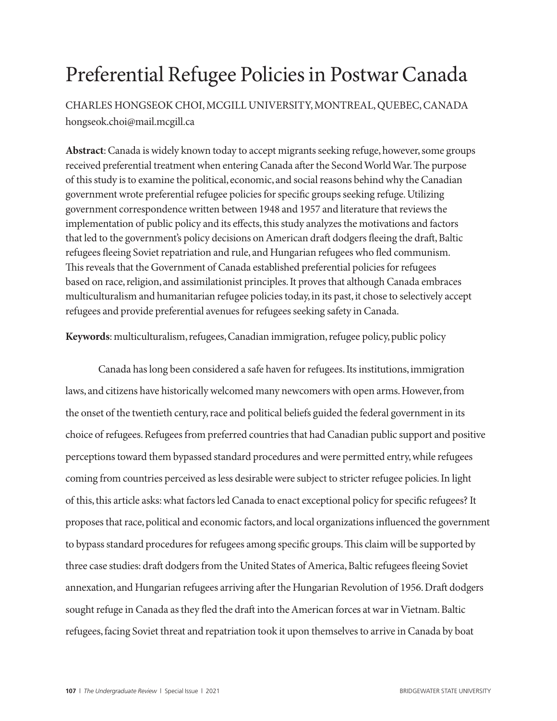# Preferential Refugee Policies in Postwar Canada

CHARLES HONGSEOK CHOI, MCGILL UNIVERSITY, MONTREAL, QUEBEC, CANADA hongseok.choi@mail.mcgill.ca

**Abstract**: Canada is widely known today to accept migrants seeking refuge, however, some groups received preferential treatment when entering Canada after the Second World War. The purpose of this study is to examine the political, economic, and social reasons behind why the Canadian government wrote preferential refugee policies for specific groups seeking refuge. Utilizing government correspondence written between 1948 and 1957 and literature that reviews the implementation of public policy and its effects, this study analyzes the motivations and factors that led to the government's policy decisions on American draft dodgers fleeing the draft, Baltic refugees fleeing Soviet repatriation and rule, and Hungarian refugees who fled communism. This reveals that the Government of Canada established preferential policies for refugees based on race, religion, and assimilationist principles. It proves that although Canada embraces multiculturalism and humanitarian refugee policies today, in its past, it chose to selectively accept refugees and provide preferential avenues for refugees seeking safety in Canada.

**Keywords**: multiculturalism, refugees, Canadian immigration, refugee policy, public policy

Canada has long been considered a safe haven for refugees. Its institutions, immigration laws, and citizens have historically welcomed many newcomers with open arms. However, from the onset of the twentieth century, race and political beliefs guided the federal government in its choice of refugees. Refugees from preferred countries that had Canadian public support and positive perceptions toward them bypassed standard procedures and were permitted entry, while refugees coming from countries perceived as less desirable were subject to stricter refugee policies. In light of this, this article asks: what factors led Canada to enact exceptional policy for specific refugees? It proposes that race, political and economic factors, and local organizations influenced the government to bypass standard procedures for refugees among specific groups. This claim will be supported by three case studies: draft dodgers from the United States of America, Baltic refugees fleeing Soviet annexation, and Hungarian refugees arriving after the Hungarian Revolution of 1956. Draft dodgers sought refuge in Canada as they fled the draft into the American forces at war in Vietnam. Baltic refugees, facing Soviet threat and repatriation took it upon themselves to arrive in Canada by boat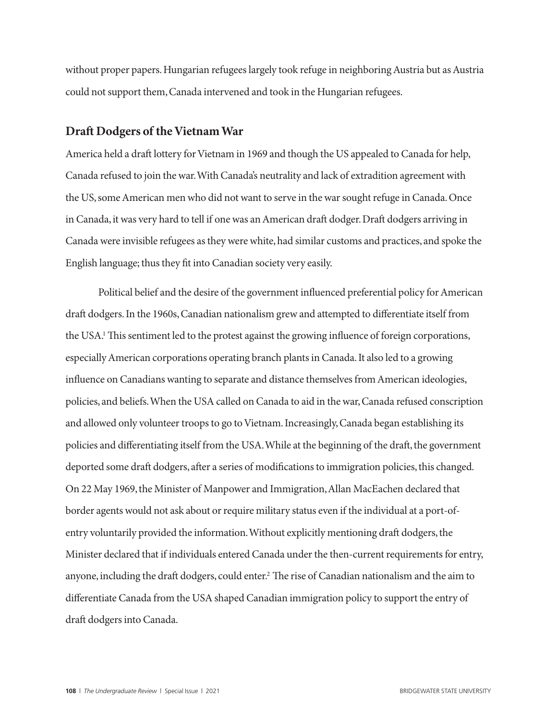without proper papers. Hungarian refugees largely took refuge in neighboring Austria but as Austria could not support them, Canada intervened and took in the Hungarian refugees.

## **Draft Dodgers of the Vietnam War**

America held a draft lottery for Vietnam in 1969 and though the US appealed to Canada for help, Canada refused to join the war. With Canada's neutrality and lack of extradition agreement with the US, some American men who did not want to serve in the war sought refuge in Canada. Once in Canada, it was very hard to tell if one was an American draft dodger. Draft dodgers arriving in Canada were invisible refugees as they were white, had similar customs and practices, and spoke the English language; thus they fit into Canadian society very easily.

Political belief and the desire of the government influenced preferential policy for American draft dodgers. In the 1960s, Canadian nationalism grew and attempted to differentiate itself from the USA.<sup>1</sup> This sentiment led to the protest against the growing influence of foreign corporations, especially American corporations operating branch plants in Canada. It also led to a growing influence on Canadians wanting to separate and distance themselves from American ideologies, policies, and beliefs. When the USA called on Canada to aid in the war, Canada refused conscription and allowed only volunteer troops to go to Vietnam. Increasingly, Canada began establishing its policies and differentiating itself from the USA. While at the beginning of the draft, the government deported some draft dodgers, after a series of modifications to immigration policies, this changed. On 22 May 1969, the Minister of Manpower and Immigration, Allan MacEachen declared that border agents would not ask about or require military status even if the individual at a port-ofentry voluntarily provided the information. Without explicitly mentioning draft dodgers, the Minister declared that if individuals entered Canada under the then-current requirements for entry, anyone, including the draft dodgers, could enter.<sup>2</sup> The rise of Canadian nationalism and the aim to differentiate Canada from the USA shaped Canadian immigration policy to support the entry of draft dodgers into Canada.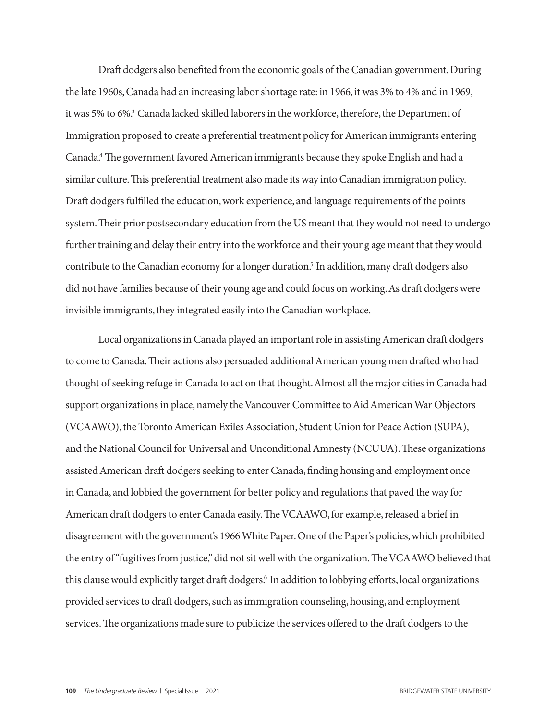Draft dodgers also benefited from the economic goals of the Canadian government. During the late 1960s, Canada had an increasing labor shortage rate: in 1966, it was 3% to 4% and in 1969, it was 5% to 6%.<sup>3</sup> Canada lacked skilled laborers in the workforce, therefore, the Department of Immigration proposed to create a preferential treatment policy for American immigrants entering Canada.4 The government favored American immigrants because they spoke English and had a similar culture. This preferential treatment also made its way into Canadian immigration policy. Draft dodgers fulfilled the education, work experience, and language requirements of the points system. Their prior postsecondary education from the US meant that they would not need to undergo further training and delay their entry into the workforce and their young age meant that they would contribute to the Canadian economy for a longer duration.<sup>5</sup> In addition, many draft dodgers also did not have families because of their young age and could focus on working. As draft dodgers were invisible immigrants, they integrated easily into the Canadian workplace.

Local organizations in Canada played an important role in assisting American draft dodgers to come to Canada. Their actions also persuaded additional American young men drafted who had thought of seeking refuge in Canada to act on that thought. Almost all the major cities in Canada had support organizations in place, namely the Vancouver Committee to Aid American War Objectors (VCAAWO), the Toronto American Exiles Association, Student Union for Peace Action (SUPA), and the National Council for Universal and Unconditional Amnesty (NCUUA). These organizations assisted American draft dodgers seeking to enter Canada, finding housing and employment once in Canada, and lobbied the government for better policy and regulations that paved the way for American draft dodgers to enter Canada easily. The VCAAWO, for example, released a brief in disagreement with the government's 1966 White Paper. One of the Paper's policies, which prohibited the entry of "fugitives from justice," did not sit well with the organization. The VCAAWO believed that this clause would explicitly target draft dodgers.<sup>6</sup> In addition to lobbying efforts, local organizations provided services to draft dodgers, such as immigration counseling, housing, and employment services. The organizations made sure to publicize the services offered to the draft dodgers to the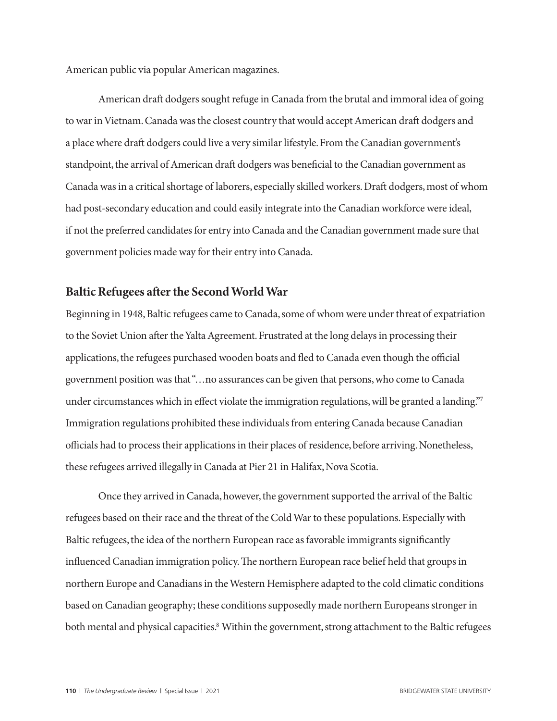American public via popular American magazines.

American draft dodgers sought refuge in Canada from the brutal and immoral idea of going to war in Vietnam. Canada was the closest country that would accept American draft dodgers and a place where draft dodgers could live a very similar lifestyle. From the Canadian government's standpoint, the arrival of American draft dodgers was beneficial to the Canadian government as Canada was in a critical shortage of laborers, especially skilled workers. Draft dodgers, most of whom had post-secondary education and could easily integrate into the Canadian workforce were ideal, if not the preferred candidates for entry into Canada and the Canadian government made sure that government policies made way for their entry into Canada.

#### **Baltic Refugees after the Second World War**

Beginning in 1948, Baltic refugees came to Canada, some of whom were under threat of expatriation to the Soviet Union after the Yalta Agreement. Frustrated at the long delays in processing their applications, the refugees purchased wooden boats and fled to Canada even though the official government position was that "…no assurances can be given that persons, who come to Canada under circumstances which in effect violate the immigration regulations, will be granted a landing."7 Immigration regulations prohibited these individuals from entering Canada because Canadian officials had to process their applications in their places of residence, before arriving. Nonetheless, these refugees arrived illegally in Canada at Pier 21 in Halifax, Nova Scotia.

Once they arrived in Canada, however, the government supported the arrival of the Baltic refugees based on their race and the threat of the Cold War to these populations. Especially with Baltic refugees, the idea of the northern European race as favorable immigrants significantly influenced Canadian immigration policy. The northern European race belief held that groups in northern Europe and Canadians in the Western Hemisphere adapted to the cold climatic conditions based on Canadian geography; these conditions supposedly made northern Europeans stronger in both mental and physical capacities.8 Within the government, strong attachment to the Baltic refugees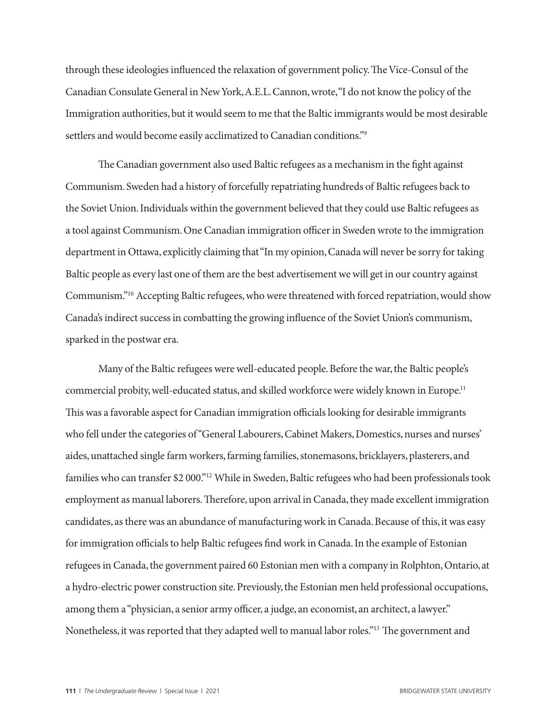through these ideologies influenced the relaxation of government policy. The Vice-Consul of the Canadian Consulate General in New York, A.E.L. Cannon, wrote, "I do not know the policy of the Immigration authorities, but it would seem to me that the Baltic immigrants would be most desirable settlers and would become easily acclimatized to Canadian conditions."9

The Canadian government also used Baltic refugees as a mechanism in the fight against Communism. Sweden had a history of forcefully repatriating hundreds of Baltic refugees back to the Soviet Union. Individuals within the government believed that they could use Baltic refugees as a tool against Communism. One Canadian immigration officer in Sweden wrote to the immigration department in Ottawa, explicitly claiming that "In my opinion, Canada will never be sorry for taking Baltic people as every last one of them are the best advertisement we will get in our country against Communism."10 Accepting Baltic refugees, who were threatened with forced repatriation, would show Canada's indirect success in combatting the growing influence of the Soviet Union's communism, sparked in the postwar era.

Many of the Baltic refugees were well-educated people. Before the war, the Baltic people's commercial probity, well-educated status, and skilled workforce were widely known in Europe.<sup>11</sup> This was a favorable aspect for Canadian immigration officials looking for desirable immigrants who fell under the categories of "General Labourers, Cabinet Makers, Domestics, nurses and nurses' aides, unattached single farm workers, farming families, stonemasons, bricklayers, plasterers, and families who can transfer \$2 000."12 While in Sweden, Baltic refugees who had been professionals took employment as manual laborers. Therefore, upon arrival in Canada, they made excellent immigration candidates, as there was an abundance of manufacturing work in Canada. Because of this, it was easy for immigration officials to help Baltic refugees find work in Canada. In the example of Estonian refugees in Canada, the government paired 60 Estonian men with a company in Rolphton, Ontario, at a hydro-electric power construction site. Previously, the Estonian men held professional occupations, among them a "physician, a senior army officer, a judge, an economist, an architect, a lawyer." Nonetheless, it was reported that they adapted well to manual labor roles."13 The government and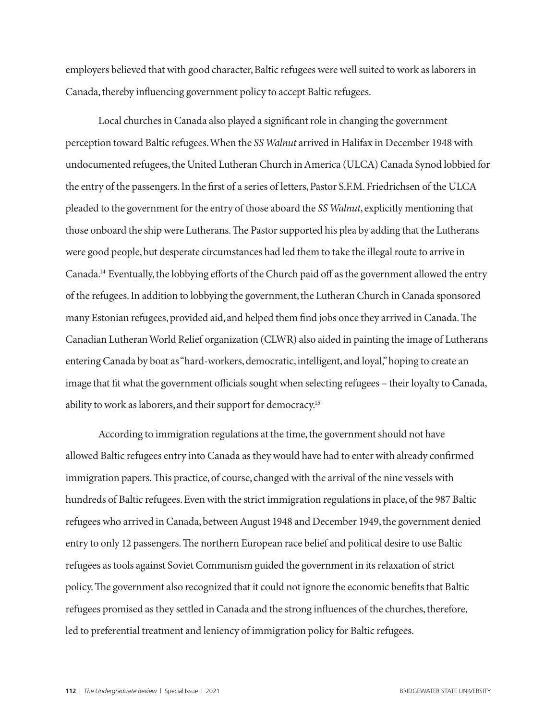employers believed that with good character, Baltic refugees were well suited to work as laborers in Canada, thereby influencing government policy to accept Baltic refugees.

Local churches in Canada also played a significant role in changing the government perception toward Baltic refugees. When the *SS Walnut* arrived in Halifax in December 1948 with undocumented refugees, the United Lutheran Church in America (ULCA) Canada Synod lobbied for the entry of the passengers. In the first of a series of letters, Pastor S.F.M. Friedrichsen of the ULCA pleaded to the government for the entry of those aboard the *SS Walnut*, explicitly mentioning that those onboard the ship were Lutherans. The Pastor supported his plea by adding that the Lutherans were good people, but desperate circumstances had led them to take the illegal route to arrive in Canada.14 Eventually, the lobbying efforts of the Church paid off as the government allowed the entry of the refugees. In addition to lobbying the government, the Lutheran Church in Canada sponsored many Estonian refugees, provided aid, and helped them find jobs once they arrived in Canada. The Canadian Lutheran World Relief organization (CLWR) also aided in painting the image of Lutherans entering Canada by boat as "hard-workers, democratic, intelligent, and loyal," hoping to create an image that fit what the government officials sought when selecting refugees – their loyalty to Canada, ability to work as laborers, and their support for democracy.15

According to immigration regulations at the time, the government should not have allowed Baltic refugees entry into Canada as they would have had to enter with already confirmed immigration papers. This practice, of course, changed with the arrival of the nine vessels with hundreds of Baltic refugees. Even with the strict immigration regulations in place, of the 987 Baltic refugees who arrived in Canada, between August 1948 and December 1949, the government denied entry to only 12 passengers. The northern European race belief and political desire to use Baltic refugees as tools against Soviet Communism guided the government in its relaxation of strict policy. The government also recognized that it could not ignore the economic benefits that Baltic refugees promised as they settled in Canada and the strong influences of the churches, therefore, led to preferential treatment and leniency of immigration policy for Baltic refugees.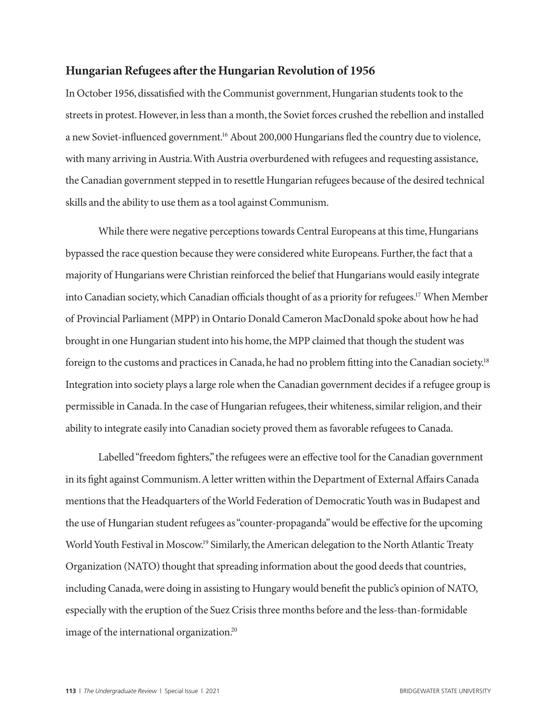#### **Hungarian Refugees after the Hungarian Revolution of 1956**

In October 1956, dissatisfied with the Communist government, Hungarian students took to the streets in protest. However, in less than a month, the Soviet forces crushed the rebellion and installed a new Soviet-influenced government.<sup>16</sup> About 200,000 Hungarians fled the country due to violence, with many arriving in Austria. With Austria overburdened with refugees and requesting assistance, the Canadian government stepped in to resettle Hungarian refugees because of the desired technical skills and the ability to use them as a tool against Communism.

While there were negative perceptions towards Central Europeans at this time, Hungarians bypassed the race question because they were considered white Europeans. Further, the fact that a majority of Hungarians were Christian reinforced the belief that Hungarians would easily integrate into Canadian society, which Canadian officials thought of as a priority for refugees.17 When Member of Provincial Parliament (MPP) in Ontario Donald Cameron MacDonald spoke about how he had brought in one Hungarian student into his home, the MPP claimed that though the student was foreign to the customs and practices in Canada, he had no problem fitting into the Canadian society.18 Integration into society plays a large role when the Canadian government decides if a refugee group is permissible in Canada. In the case of Hungarian refugees, their whiteness, similar religion, and their ability to integrate easily into Canadian society proved them as favorable refugees to Canada.

Labelled "freedom fighters," the refugees were an effective tool for the Canadian government in its fight against Communism. A letter written within the Department of External Affairs Canada mentions that the Headquarters of the World Federation of Democratic Youth was in Budapest and the use of Hungarian student refugees as "counter-propaganda" would be effective for the upcoming World Youth Festival in Moscow.19 Similarly, the American delegation to the North Atlantic Treaty Organization (NATO) thought that spreading information about the good deeds that countries, including Canada, were doing in assisting to Hungary would benefit the public's opinion of NATO, especially with the eruption of the Suez Crisis three months before and the less-than-formidable image of the international organization.20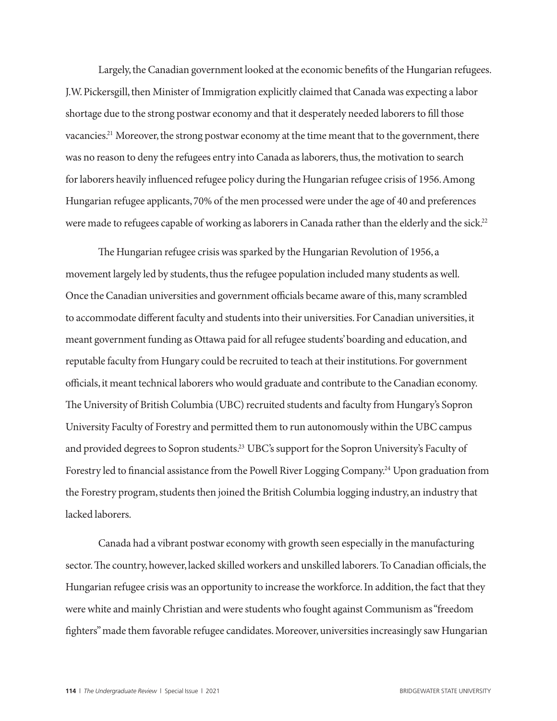Largely, the Canadian government looked at the economic benefits of the Hungarian refugees. J.W. Pickersgill, then Minister of Immigration explicitly claimed that Canada was expecting a labor shortage due to the strong postwar economy and that it desperately needed laborers to fill those vacancies.<sup>21</sup> Moreover, the strong postwar economy at the time meant that to the government, there was no reason to deny the refugees entry into Canada as laborers, thus, the motivation to search for laborers heavily influenced refugee policy during the Hungarian refugee crisis of 1956. Among Hungarian refugee applicants, 70% of the men processed were under the age of 40 and preferences were made to refugees capable of working as laborers in Canada rather than the elderly and the sick.<sup>22</sup>

The Hungarian refugee crisis was sparked by the Hungarian Revolution of 1956, a movement largely led by students, thus the refugee population included many students as well. Once the Canadian universities and government officials became aware of this, many scrambled to accommodate different faculty and students into their universities. For Canadian universities, it meant government funding as Ottawa paid for all refugee students' boarding and education, and reputable faculty from Hungary could be recruited to teach at their institutions. For government officials, it meant technical laborers who would graduate and contribute to the Canadian economy. The University of British Columbia (UBC) recruited students and faculty from Hungary's Sopron University Faculty of Forestry and permitted them to run autonomously within the UBC campus and provided degrees to Sopron students.23 UBC's support for the Sopron University's Faculty of Forestry led to financial assistance from the Powell River Logging Company.<sup>24</sup> Upon graduation from the Forestry program, students then joined the British Columbia logging industry, an industry that lacked laborers.

Canada had a vibrant postwar economy with growth seen especially in the manufacturing sector. The country, however, lacked skilled workers and unskilled laborers. To Canadian officials, the Hungarian refugee crisis was an opportunity to increase the workforce. In addition, the fact that they were white and mainly Christian and were students who fought against Communism as "freedom fighters" made them favorable refugee candidates. Moreover, universities increasingly saw Hungarian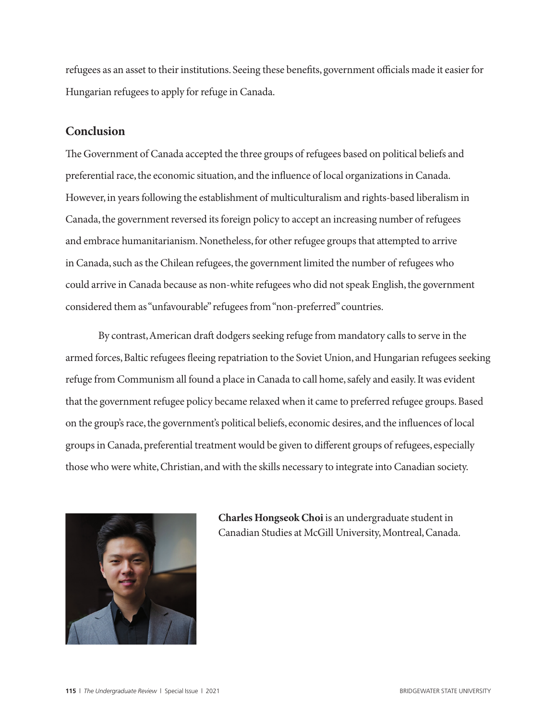refugees as an asset to their institutions. Seeing these benefits, government officials made it easier for Hungarian refugees to apply for refuge in Canada.

## **Conclusion**

The Government of Canada accepted the three groups of refugees based on political beliefs and preferential race, the economic situation, and the influence of local organizations in Canada. However, in years following the establishment of multiculturalism and rights-based liberalism in Canada, the government reversed its foreign policy to accept an increasing number of refugees and embrace humanitarianism. Nonetheless, for other refugee groups that attempted to arrive in Canada, such as the Chilean refugees, the government limited the number of refugees who could arrive in Canada because as non-white refugees who did not speak English, the government considered them as "unfavourable" refugees from "non-preferred" countries.

By contrast, American draft dodgers seeking refuge from mandatory calls to serve in the armed forces, Baltic refugees fleeing repatriation to the Soviet Union, and Hungarian refugees seeking refuge from Communism all found a place in Canada to call home, safely and easily. It was evident that the government refugee policy became relaxed when it came to preferred refugee groups. Based on the group's race, the government's political beliefs, economic desires, and the influences of local groups in Canada, preferential treatment would be given to different groups of refugees, especially those who were white, Christian, and with the skills necessary to integrate into Canadian society.



**Charles Hongseok Choi** is an undergraduate student in Canadian Studies at McGill University, Montreal, Canada.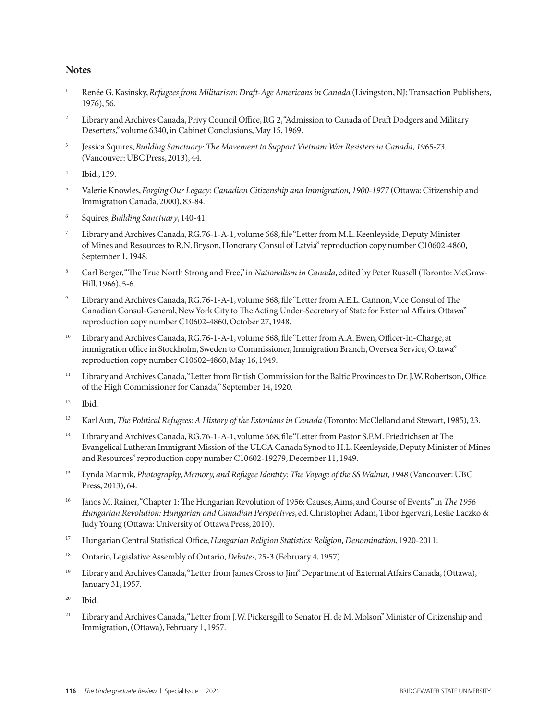#### **Notes**

- <sup>1</sup> Renée G. Kasinsky, *Refugees from Militarism: Draft-Age Americans in Canada* (Livingston, NJ: Transaction Publishers, 1976), 56.
- <sup>2</sup> Library and Archives Canada, Privy Council Office, RG 2, "Admission to Canada of Draft Dodgers and Military Deserters," volume 6340, in Cabinet Conclusions, May 15, 1969.
- <sup>3</sup> Jessica Squires, *Building Sanctuary: The Movement to Support Vietnam War Resisters in Canada*, *1965-73.* (Vancouver: UBC Press, 2013), 44.
- <sup>4</sup> Ibid., 139.
- <sup>5</sup> Valerie Knowles, *Forging Our Legacy: Canadian Citizenship and Immigration, 1900-1977* (Ottawa: Citizenship and Immigration Canada, 2000), 83-84.
- <sup>6</sup> Squires, *Building Sanctuary*, 140-41.
- Library and Archives Canada, RG.76-1-A-1, volume 668, file "Letter from M.L. Keenleyside, Deputy Minister of Mines and Resources to R.N. Bryson, Honorary Consul of Latvia" reproduction copy number C10602-4860, September 1, 1948.
- 8 Carl Berger, "The True North Strong and Free," in *Nationalism in Canada*, edited by Peter Russell (Toronto: McGraw-Hill, 1966), 5-6.
- Library and Archives Canada, RG.76-1-A-1, volume 668, file "Letter from A.E.L. Cannon, Vice Consul of The Canadian Consul-General, New York City to The Acting Under-Secretary of State for External Affairs, Ottawa" reproduction copy number C10602-4860, October 27, 1948.
- <sup>10</sup> Library and Archives Canada, RG.76-1-A-1, volume 668, file "Letter from A.A. Ewen, Officer-in-Charge, at immigration office in Stockholm, Sweden to Commissioner, Immigration Branch, Oversea Service, Ottawa" reproduction copy number C10602-4860, May 16, 1949.
- <sup>11</sup> Library and Archives Canada, "Letter from British Commission for the Baltic Provinces to Dr. J.W. Robertson, Office of the High Commissioner for Canada," September 14, 1920.
- <sup>12</sup> Ibid.
- <sup>13</sup> Karl Aun, *The Political Refugees: A History of the Estonians in Canada* (Toronto: McClelland and Stewart, 1985), 23.
- <sup>14</sup> Library and Archives Canada, RG.76-1-A-1, volume 668, file "Letter from Pastor S.F.M. Friedrichsen at The Evangelical Lutheran Immigrant Mission of the ULCA Canada Synod to H.L. Keenleyside, Deputy Minister of Mines and Resources" reproduction copy number C10602-19279, December 11, 1949.
- <sup>15</sup> Lynda Mannik, *Photography, Memory, and Refugee Identity: The Voyage of the SS Walnut, 1948* (Vancouver: UBC Press, 2013), 64.
- <sup>16</sup> Janos M. Rainer, "Chapter 1: The Hungarian Revolution of 1956: Causes, Aims, and Course of Events" in *The 1956 Hungarian Revolution: Hungarian and Canadian Perspectives*, ed. Christopher Adam, Tibor Egervari, Leslie Laczko & Judy Young (Ottawa: University of Ottawa Press, 2010).
- <sup>17</sup> Hungarian Central Statistical Office, *Hungarian Religion Statistics: Religion, Denomination*, 1920-2011.
- <sup>18</sup> Ontario, Legislative Assembly of Ontario, *Debates*, 25-3 (February 4, 1957).
- <sup>19</sup> Library and Archives Canada, "Letter from James Cross to Jim" Department of External Affairs Canada, (Ottawa), January 31, 1957.
- <sup>20</sup> Ibid.
- <sup>21</sup> Library and Archives Canada, "Letter from J.W. Pickersgill to Senator H. de M. Molson" Minister of Citizenship and Immigration, (Ottawa), February 1, 1957.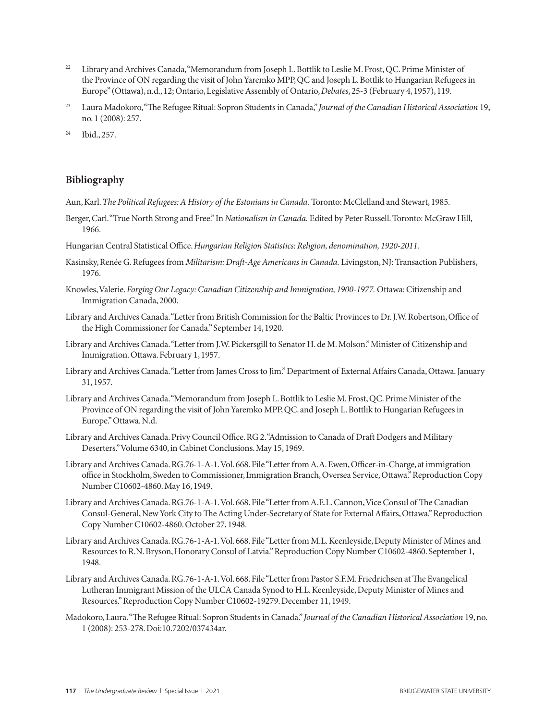- <sup>22</sup> Library and Archives Canada, "Memorandum from Joseph L. Bottlik to Leslie M. Frost, QC. Prime Minister of the Province of ON regarding the visit of John Yaremko MPP, QC and Joseph L. Bottlik to Hungarian Refugees in Europe" (Ottawa), n.d., 12; Ontario, Legislative Assembly of Ontario, *Debates*, 25-3 (February 4, 1957), 119.
- <sup>23</sup> Laura Madokoro, "The Refugee Ritual: Sopron Students in Canada," *Journal of the Canadian Historical Association* 19, no. 1 (2008): 257.
- <sup>24</sup> Ibid., 257.

#### **Bibliography**

- Aun, Karl. *The Political Refugees: A History of the Estonians in Canada.* Toronto: McClelland and Stewart, 1985.
- Berger, Carl. "True North Strong and Free." In *Nationalism in Canada.* Edited by Peter Russell. Toronto: McGraw Hill, 1966.
- Hungarian Central Statistical Office. *Hungarian Religion Statistics: Religion, denomination, 1920-2011.*
- Kasinsky, Renée G. Refugees from *Militarism: Draft-Age Americans in Canada.* Livingston, NJ: Transaction Publishers, 1976.
- Knowles, Valerie. *Forging Our Legacy: Canadian Citizenship and Immigration, 1900-1977.* Ottawa: Citizenship and Immigration Canada, 2000.
- Library and Archives Canada. "Letter from British Commission for the Baltic Provinces to Dr. J.W. Robertson, Office of the High Commissioner for Canada." September 14, 1920.
- Library and Archives Canada. "Letter from J.W. Pickersgill to Senator H. de M. Molson." Minister of Citizenship and Immigration. Ottawa. February 1, 1957.
- Library and Archives Canada. "Letter from James Cross to Jim." Department of External Affairs Canada, Ottawa. January 31, 1957.
- Library and Archives Canada. "Memorandum from Joseph L. Bottlik to Leslie M. Frost, QC. Prime Minister of the Province of ON regarding the visit of John Yaremko MPP, QC. and Joseph L. Bottlik to Hungarian Refugees in Europe." Ottawa. N.d.
- Library and Archives Canada. Privy Council Office. RG 2. "Admission to Canada of Draft Dodgers and Military Deserters." Volume 6340, in Cabinet Conclusions. May 15, 1969.
- Library and Archives Canada. RG.76-1-A-1. Vol. 668. File "Letter from A.A. Ewen, Officer-in-Charge, at immigration office in Stockholm, Sweden to Commissioner, Immigration Branch, Oversea Service, Ottawa." Reproduction Copy Number C10602-4860. May 16, 1949.
- Library and Archives Canada. RG.76-1-A-1. Vol. 668. File "Letter from A.E.L. Cannon, Vice Consul of The Canadian Consul-General, New York City to The Acting Under-Secretary of State for External Affairs, Ottawa." Reproduction Copy Number C10602-4860. October 27, 1948.
- Library and Archives Canada. RG.76-1-A-1. Vol. 668. File "Letter from M.L. Keenleyside, Deputy Minister of Mines and Resources to R.N. Bryson, Honorary Consul of Latvia." Reproduction Copy Number C10602-4860. September 1, 1948.
- Library and Archives Canada. RG.76-1-A-1. Vol. 668. File "Letter from Pastor S.F.M. Friedrichsen at The Evangelical Lutheran Immigrant Mission of the ULCA Canada Synod to H.L. Keenleyside, Deputy Minister of Mines and Resources." Reproduction Copy Number C10602-19279. December 11, 1949.
- Madokoro, Laura. "The Refugee Ritual: Sopron Students in Canada." *Journal of the Canadian Historical Association* 19, no. 1 (2008): 253-278. Doi:10.7202/037434ar.